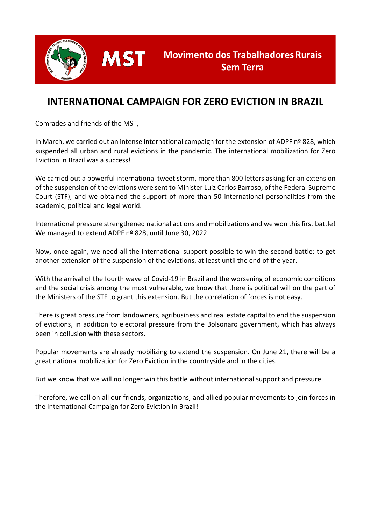

# **INTERNATIONAL CAMPAIGN FOR ZERO EVICTION IN BRAZIL**

Comrades and friends of the MST,

**MST** 

In March, we carried out an intense international campaign for the extension of ADPF nº 828, which suspended all urban and rural evictions in the pandemic. The international mobilization for Zero Eviction in Brazil was a success!

We carried out a powerful international tweet storm, more than 800 letters asking for an extension of the suspension of the evictions were sent to Minister Luiz Carlos Barroso, of the Federal Supreme Court (STF), and we obtained the support of more than 50 international personalities from the academic, political and legal world.

International pressure strengthened national actions and mobilizations and we won this first battle! We managed to extend ADPF nº 828, until June 30, 2022.

Now, once again, we need all the international support possible to win the second battle: to get another extension of the suspension of the evictions, at least until the end of the year.

With the arrival of the fourth wave of Covid-19 in Brazil and the worsening of economic conditions and the social crisis among the most vulnerable, we know that there is political will on the part of the Ministers of the STF to grant this extension. But the correlation of forces is not easy.

There is great pressure from landowners, agribusiness and real estate capital to end the suspension of evictions, in addition to electoral pressure from the Bolsonaro government, which has always been in collusion with these sectors.

Popular movements are already mobilizing to extend the suspension. On June 21, there will be a great national mobilization for Zero Eviction in the countryside and in the cities.

But we know that we will no longer win this battle without international support and pressure.

Therefore, we call on all our friends, organizations, and allied popular movements to join forces in the International Campaign for Zero Eviction in Brazil!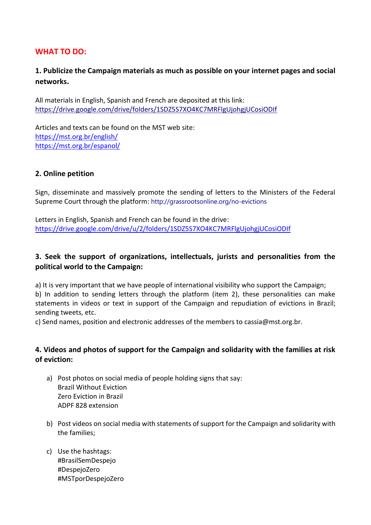### **WHAT TO DO:**

## **1. Publicize the Campaign materials as much as possible on your internet pages and social networks.**

All materials in English, Spanish and French are deposited at this link: <https://drive.google.com/drive/folders/1SDZ5S7XO4KC7MRFlgUjohgjUCosiODIf>

Articles and texts can be found on the MST web site: <https://mst.org.br/english/> <https://mst.org.br/espanol/>

#### **2. Online petition**

Sign, disseminate and massively promote the sending of letters to the Ministers of the Federal Supreme Court through the platform: <http://grassrootsonline.org/no-evictions>

Letters in English, Spanish and French can be found in the drive: <https://drive.google.com/drive/u/2/folders/1SDZ5S7XO4KC7MRFlgUjohgjUCosiODIf>

#### **3. Seek the support of organizations, intellectuals, jurists and personalities from the political world to the Campaign:**

a) It is very important that we have people of international visibility who support the Campaign; b) In addition to sending letters through the platform (item 2), these personalities can make statements in videos or text in support of the Campaign and repudiation of evictions in Brazil; sending tweets, etc.

c) Send names, position and electronic addresses of the members to cassia@mst.org.br.

#### **4. Videos and photos of support for the Campaign and solidarity with the families at risk of eviction:**

- a) Post photos on social media of people holding signs that say: Brazil Without Eviction Zero Eviction in Brazil ADPF 828 extension
- b) Post videos on social media with statements of support for the Campaign and solidarity with the families;
- c) Use the hashtags: #BrasilSemDespejo #DespejoZero #MSTporDespejoZero